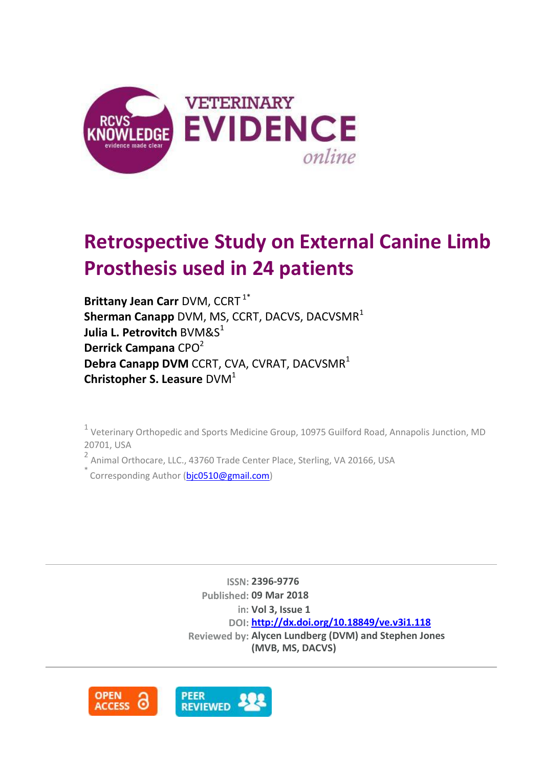

# **Retrospective Study on External Canine Limb Prosthesis used in 24 patients**

**Brittany Jean Carr** DVM, CCRT<sup>1\*</sup> **Sherman Canapp** DVM, MS, CCRT, DACVS, DACVSMR<sup>1</sup> **Julia L. Petrovitch BVM&S**<sup>1</sup> **Derrick Campana** CPO<sup>2</sup> **Debra Canapp DVM** CCRT, CVA, CVRAT, DACVSMR<sup>1</sup> **Christopher S. Leasure** DVM<sup>1</sup>

<sup>1</sup> Veterinary Orthopedic and Sports Medicine Group, 10975 Guilford Road, Annapolis Junction, MD 20701, USA

<sup>2</sup> Animal Orthocare, LLC., 43760 Trade Center Place, Sterling, VA 20166, USA

Corresponding Author [\(bjc0510@gmail.com\)](mailto:bjc0510@gmail.com)

**ISSN: 2396-9776 Published: 09 Mar 2018 in: Vol 3, Issue 1 DOI: <http://dx.doi.org/10.18849/ve.v3i1.118> Reviewed by: Alycen Lundberg (DVM) and Stephen Jones (MVB, MS, DACVS)**

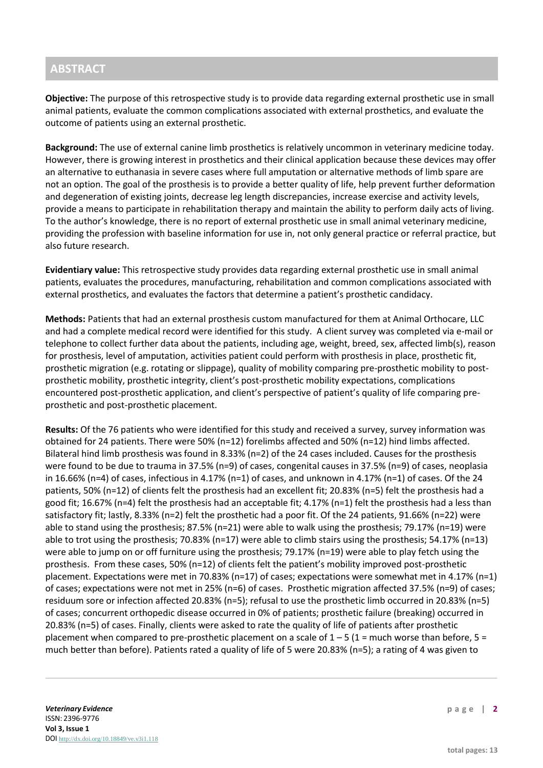# **ABSTRACT**

**Objective:** The purpose of this retrospective study is to provide data regarding external prosthetic use in small animal patients, evaluate the common complications associated with external prosthetics, and evaluate the outcome of patients using an external prosthetic.

**Background:** The use of external canine limb prosthetics is relatively uncommon in veterinary medicine today. However, there is growing interest in prosthetics and their clinical application because these devices may offer an alternative to euthanasia in severe cases where full amputation or alternative methods of limb spare are not an option. The goal of the prosthesis is to provide a better quality of life, help prevent further deformation and degeneration of existing joints, decrease leg length discrepancies, increase exercise and activity levels, provide a means to participate in rehabilitation therapy and maintain the ability to perform daily acts of living. To the author's knowledge, there is no report of external prosthetic use in small animal veterinary medicine, providing the profession with baseline information for use in, not only general practice or referral practice, but also future research.

**Evidentiary value:** This retrospective study provides data regarding external prosthetic use in small animal patients, evaluates the procedures, manufacturing, rehabilitation and common complications associated with external prosthetics, and evaluates the factors that determine a patient's prosthetic candidacy.

**Methods:** Patients that had an external prosthesis custom manufactured for them at Animal Orthocare, LLC and had a complete medical record were identified for this study. A client survey was completed via e-mail or telephone to collect further data about the patients, including age, weight, breed, sex, affected limb(s), reason for prosthesis, level of amputation, activities patient could perform with prosthesis in place, prosthetic fit, prosthetic migration (e.g. rotating or slippage), quality of mobility comparing pre-prosthetic mobility to postprosthetic mobility, prosthetic integrity, client's post-prosthetic mobility expectations, complications encountered post-prosthetic application, and client's perspective of patient's quality of life comparing preprosthetic and post-prosthetic placement.

**Results:** Of the 76 patients who were identified for this study and received a survey, survey information was obtained for 24 patients. There were 50% (n=12) forelimbs affected and 50% (n=12) hind limbs affected. Bilateral hind limb prosthesis was found in 8.33% (n=2) of the 24 cases included. Causes for the prosthesis were found to be due to trauma in 37.5% (n=9) of cases, congenital causes in 37.5% (n=9) of cases, neoplasia in 16.66% (n=4) of cases, infectious in 4.17% (n=1) of cases, and unknown in 4.17% (n=1) of cases. Of the 24 patients, 50% (n=12) of clients felt the prosthesis had an excellent fit; 20.83% (n=5) felt the prosthesis had a good fit; 16.67% (n=4) felt the prosthesis had an acceptable fit; 4.17% (n=1) felt the prosthesis had a less than satisfactory fit; lastly, 8.33% (n=2) felt the prosthetic had a poor fit. Of the 24 patients, 91.66% (n=22) were able to stand using the prosthesis; 87.5% (n=21) were able to walk using the prosthesis; 79.17% (n=19) were able to trot using the prosthesis; 70.83% (n=17) were able to climb stairs using the prosthesis; 54.17% (n=13) were able to jump on or off furniture using the prosthesis; 79.17% (n=19) were able to play fetch using the prosthesis. From these cases, 50% (n=12) of clients felt the patient's mobility improved post-prosthetic placement. Expectations were met in 70.83% (n=17) of cases; expectations were somewhat met in 4.17% (n=1) of cases; expectations were not met in 25% (n=6) of cases. Prosthetic migration affected 37.5% (n=9) of cases; residuum sore or infection affected 20.83% (n=5); refusal to use the prosthetic limb occurred in 20.83% (n=5) of cases; concurrent orthopedic disease occurred in 0% of patients; prosthetic failure (breaking) occurred in 20.83% (n=5) of cases. Finally, clients were asked to rate the quality of life of patients after prosthetic placement when compared to pre-prosthetic placement on a scale of  $1 - 5$  ( $1 =$  much worse than before,  $5 =$ much better than before). Patients rated a quality of life of 5 were 20.83% (n=5); a rating of 4 was given to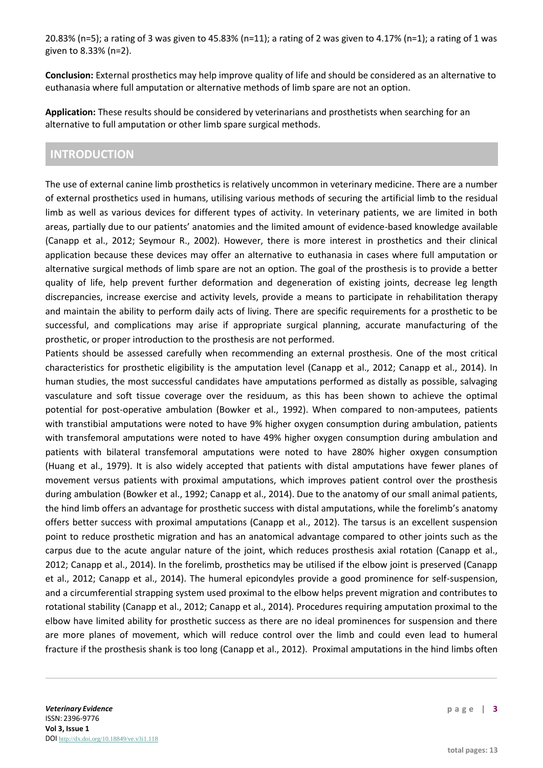20.83% (n=5); a rating of 3 was given to 45.83% (n=11); a rating of 2 was given to 4.17% (n=1); a rating of 1 was given to 8.33% (n=2).

**Conclusion:** External prosthetics may help improve quality of life and should be considered as an alternative to euthanasia where full amputation or alternative methods of limb spare are not an option.

**Application:** These results should be considered by veterinarians and prosthetists when searching for an alternative to full amputation or other limb spare surgical methods.

# **INTRODUCTION**

The use of external canine limb prosthetics is relatively uncommon in veterinary medicine. There are a number of external prosthetics used in humans, utilising various methods of securing the artificial limb to the residual limb as well as various devices for different types of activity. In veterinary patients, we are limited in both areas, partially due to our patients' anatomies and the limited amount of evidence-based knowledge available (Canapp et al., 2012; Seymour R., 2002). However, there is more interest in prosthetics and their clinical application because these devices may offer an alternative to euthanasia in cases where full amputation or alternative surgical methods of limb spare are not an option. The goal of the prosthesis is to provide a better quality of life, help prevent further deformation and degeneration of existing joints, decrease leg length discrepancies, increase exercise and activity levels, provide a means to participate in rehabilitation therapy and maintain the ability to perform daily acts of living. There are specific requirements for a prosthetic to be successful, and complications may arise if appropriate surgical planning, accurate manufacturing of the prosthetic, or proper introduction to the prosthesis are not performed.

Patients should be assessed carefully when recommending an external prosthesis. One of the most critical characteristics for prosthetic eligibility is the amputation level (Canapp et al., 2012; Canapp et al., 2014). In human studies, the most successful candidates have amputations performed as distally as possible, salvaging vasculature and soft tissue coverage over the residuum, as this has been shown to achieve the optimal potential for post-operative ambulation (Bowker et al., 1992). When compared to non-amputees, patients with transtibial amputations were noted to have 9% higher oxygen consumption during ambulation, patients with transfemoral amputations were noted to have 49% higher oxygen consumption during ambulation and patients with bilateral transfemoral amputations were noted to have 280% higher oxygen consumption (Huang et al., 1979). It is also widely accepted that patients with distal amputations have fewer planes of movement versus patients with proximal amputations, which improves patient control over the prosthesis during ambulation (Bowker et al., 1992; Canapp et al., 2014). Due to the anatomy of our small animal patients, the hind limb offers an advantage for prosthetic success with distal amputations, while the forelimb's anatomy offers better success with proximal amputations (Canapp et al., 2012). The tarsus is an excellent suspension point to reduce prosthetic migration and has an anatomical advantage compared to other joints such as the carpus due to the acute angular nature of the joint, which reduces prosthesis axial rotation (Canapp et al., 2012; Canapp et al., 2014). In the forelimb, prosthetics may be utilised if the elbow joint is preserved (Canapp et al., 2012; Canapp et al., 2014). The humeral epicondyles provide a good prominence for self-suspension, and a circumferential strapping system used proximal to the elbow helps prevent migration and contributes to rotational stability (Canapp et al., 2012; Canapp et al., 2014). Procedures requiring amputation proximal to the elbow have limited ability for prosthetic success as there are no ideal prominences for suspension and there are more planes of movement, which will reduce control over the limb and could even lead to humeral fracture if the prosthesis shank is too long (Canapp et al., 2012). Proximal amputations in the hind limbs often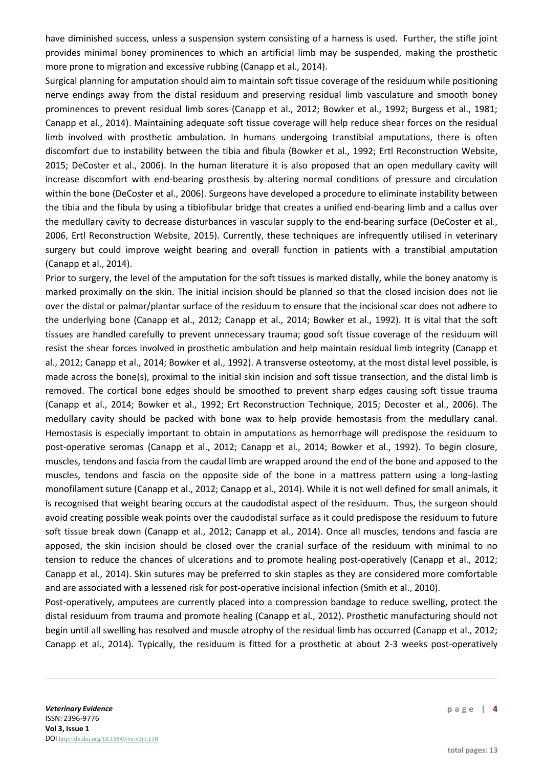have diminished success, unless a suspension system consisting of a harness is used. Further, the stifle joint provides minimal boney prominences to which an artificial limb may be suspended, making the prosthetic more prone to migration and excessive rubbing (Canapp et al., 2014).

Surgical planning for amputation should aim to maintain soft tissue coverage of the residuum while positioning nerve endings away from the distal residuum and preserving residual limb vasculature and smooth boney prominences to prevent residual limb sores (Canapp et al., 2012; Bowker et al., 1992; Burgess et al., 1981; Canapp et al., 2014). Maintaining adequate soft tissue coverage will help reduce shear forces on the residual limb involved with prosthetic ambulation. In humans undergoing transtibial amputations, there is often discomfort due to instability between the tibia and fibula (Bowker et al., 1992; Ertl Reconstruction Website, 2015; DeCoster et al., 2006). In the human literature it is also proposed that an open medullary cavity will increase discomfort with end-bearing prosthesis by altering normal conditions of pressure and circulation within the bone (DeCoster et al., 2006). Surgeons have developed a procedure to eliminate instability between the tibia and the fibula by using a tibiofibular bridge that creates a unified end-bearing limb and a callus over the medullary cavity to decrease disturbances in vascular supply to the end-bearing surface (DeCoster et al., 2006, Ertl Reconstruction Website, 2015). Currently, these techniques are infrequently utilised in veterinary surgery but could improve weight bearing and overall function in patients with a transtibial amputation (Canapp et al., 2014).

Prior to surgery, the level of the amputation for the soft tissues is marked distally, while the boney anatomy is marked proximally on the skin. The initial incision should be planned so that the closed incision does not lie over the distal or palmar/plantar surface of the residuum to ensure that the incisional scar does not adhere to the underlying bone (Canapp et al., 2012; Canapp et al., 2014; Bowker et al., 1992). It is vital that the soft tissues are handled carefully to prevent unnecessary trauma; good soft tissue coverage of the residuum will resist the shear forces involved in prosthetic ambulation and help maintain residual limb integrity (Canapp et al., 2012; Canapp et al., 2014; Bowker et al., 1992). A transverse osteotomy, at the most distal level possible, is made across the bone(s), proximal to the initial skin incision and soft tissue transection, and the distal limb is removed. The cortical bone edges should be smoothed to prevent sharp edges causing soft tissue trauma (Canapp et al., 2014; Bowker et al., 1992; Ert Reconstruction Technique, 2015; Decoster et al., 2006). The medullary cavity should be packed with bone wax to help provide hemostasis from the medullary canal. Hemostasis is especially important to obtain in amputations as hemorrhage will predispose the residuum to post-operative seromas (Canapp et al., 2012; Canapp et al., 2014; Bowker et al., 1992). To begin closure, muscles, tendons and fascia from the caudal limb are wrapped around the end of the bone and apposed to the muscles, tendons and fascia on the opposite side of the bone in a mattress pattern using a long-lasting monofilament suture (Canapp et al., 2012; Canapp et al., 2014). While it is not well defined for small animals, it is recognised that weight bearing occurs at the caudodistal aspect of the residuum. Thus, the surgeon should avoid creating possible weak points over the caudodistal surface as it could predispose the residuum to future soft tissue break down (Canapp et al., 2012; Canapp et al., 2014). Once all muscles, tendons and fascia are apposed, the skin incision should be closed over the cranial surface of the residuum with minimal to no tension to reduce the chances of ulcerations and to promote healing post-operatively (Canapp et al., 2012; Canapp et al., 2014). Skin sutures may be preferred to skin staples as they are considered more comfortable and are associated with a lessened risk for post-operative incisional infection (Smith et al., 2010).

Post-operatively, amputees are currently placed into a compression bandage to reduce swelling, protect the distal residuum from trauma and promote healing (Canapp et al., 2012). Prosthetic manufacturing should not begin until all swelling has resolved and muscle atrophy of the residual limb has occurred (Canapp et al., 2012; Canapp et al., 2014). Typically, the residuum is fitted for a prosthetic at about 2-3 weeks post-operatively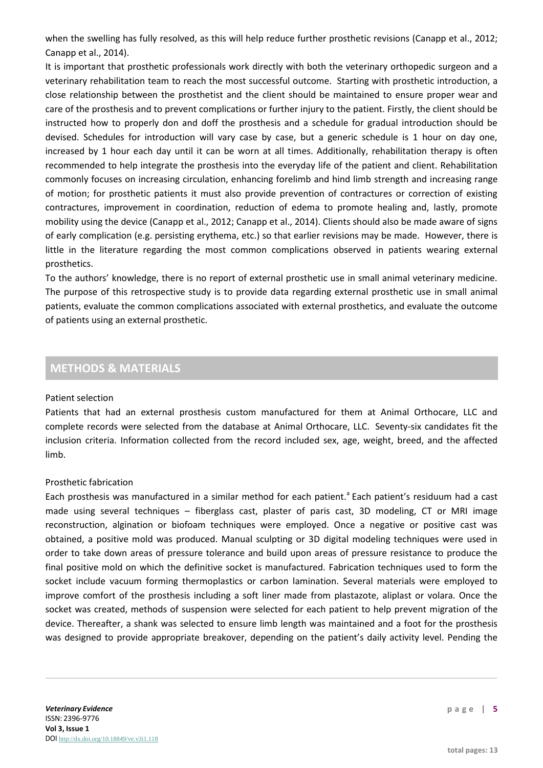when the swelling has fully resolved, as this will help reduce further prosthetic revisions (Canapp et al., 2012; Canapp et al., 2014).

It is important that prosthetic professionals work directly with both the veterinary orthopedic surgeon and a veterinary rehabilitation team to reach the most successful outcome. Starting with prosthetic introduction, a close relationship between the prosthetist and the client should be maintained to ensure proper wear and care of the prosthesis and to prevent complications or further injury to the patient. Firstly, the client should be instructed how to properly don and doff the prosthesis and a schedule for gradual introduction should be devised. Schedules for introduction will vary case by case, but a generic schedule is 1 hour on day one, increased by 1 hour each day until it can be worn at all times. Additionally, rehabilitation therapy is often recommended to help integrate the prosthesis into the everyday life of the patient and client. Rehabilitation commonly focuses on increasing circulation, enhancing forelimb and hind limb strength and increasing range of motion; for prosthetic patients it must also provide prevention of contractures or correction of existing contractures, improvement in coordination, reduction of edema to promote healing and, lastly, promote mobility using the device (Canapp et al., 2012; Canapp et al., 2014). Clients should also be made aware of signs of early complication (e.g. persisting erythema, etc.) so that earlier revisions may be made. However, there is little in the literature regarding the most common complications observed in patients wearing external prosthetics.

To the authors' knowledge, there is no report of external prosthetic use in small animal veterinary medicine. The purpose of this retrospective study is to provide data regarding external prosthetic use in small animal patients, evaluate the common complications associated with external prosthetics, and evaluate the outcome of patients using an external prosthetic.

# **METHODS & MATERIALS**

#### Patient selection

Patients that had an external prosthesis custom manufactured for them at Animal Orthocare, LLC and complete records were selected from the database at Animal Orthocare, LLC. Seventy-six candidates fit the inclusion criteria. Information collected from the record included sex, age, weight, breed, and the affected limb.

## Prosthetic fabrication

Each prosthesis was manufactured in a similar method for each patient.<sup>a</sup> Each patient's residuum had a cast made using several techniques – fiberglass cast, plaster of paris cast, 3D modeling, CT or MRI image reconstruction, algination or biofoam techniques were employed. Once a negative or positive cast was obtained, a positive mold was produced. Manual sculpting or 3D digital modeling techniques were used in order to take down areas of pressure tolerance and build upon areas of pressure resistance to produce the final positive mold on which the definitive socket is manufactured. Fabrication techniques used to form the socket include vacuum forming thermoplastics or carbon lamination. Several materials were employed to improve comfort of the prosthesis including a soft liner made from plastazote, aliplast or volara. Once the socket was created, methods of suspension were selected for each patient to help prevent migration of the device. Thereafter, a shank was selected to ensure limb length was maintained and a foot for the prosthesis was designed to provide appropriate breakover, depending on the patient's daily activity level. Pending the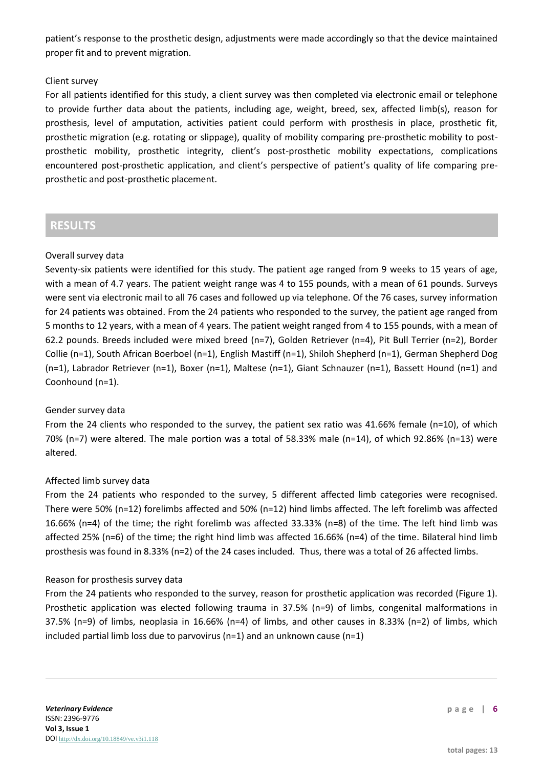patient's response to the prosthetic design, adjustments were made accordingly so that the device maintained proper fit and to prevent migration.

## Client survey

For all patients identified for this study, a client survey was then completed via electronic email or telephone to provide further data about the patients, including age, weight, breed, sex, affected limb(s), reason for prosthesis, level of amputation, activities patient could perform with prosthesis in place, prosthetic fit, prosthetic migration (e.g. rotating or slippage), quality of mobility comparing pre-prosthetic mobility to postprosthetic mobility, prosthetic integrity, client's post-prosthetic mobility expectations, complications encountered post-prosthetic application, and client's perspective of patient's quality of life comparing preprosthetic and post-prosthetic placement.

# **RESULTS**

## Overall survey data

Seventy-six patients were identified for this study. The patient age ranged from 9 weeks to 15 years of age, with a mean of 4.7 years. The patient weight range was 4 to 155 pounds, with a mean of 61 pounds. Surveys were sent via electronic mail to all 76 cases and followed up via telephone. Of the 76 cases, survey information for 24 patients was obtained. From the 24 patients who responded to the survey, the patient age ranged from 5 months to 12 years, with a mean of 4 years. The patient weight ranged from 4 to 155 pounds, with a mean of 62.2 pounds. Breeds included were mixed breed (n=7), Golden Retriever (n=4), Pit Bull Terrier (n=2), Border Collie (n=1), South African Boerboel (n=1), English Mastiff (n=1), Shiloh Shepherd (n=1), German Shepherd Dog (n=1), Labrador Retriever (n=1), Boxer (n=1), Maltese (n=1), Giant Schnauzer (n=1), Bassett Hound (n=1) and Coonhound (n=1).

## Gender survey data

From the 24 clients who responded to the survey, the patient sex ratio was 41.66% female (n=10), of which 70% (n=7) were altered. The male portion was a total of 58.33% male (n=14), of which 92.86% (n=13) were altered.

#### Affected limb survey data

From the 24 patients who responded to the survey, 5 different affected limb categories were recognised. There were 50% (n=12) forelimbs affected and 50% (n=12) hind limbs affected. The left forelimb was affected 16.66% (n=4) of the time; the right forelimb was affected 33.33% (n=8) of the time. The left hind limb was affected 25% (n=6) of the time; the right hind limb was affected 16.66% (n=4) of the time. Bilateral hind limb prosthesis was found in 8.33% (n=2) of the 24 cases included. Thus, there was a total of 26 affected limbs.

#### Reason for prosthesis survey data

From the 24 patients who responded to the survey, reason for prosthetic application was recorded (Figure 1). Prosthetic application was elected following trauma in 37.5% (n=9) of limbs, congenital malformations in 37.5% (n=9) of limbs, neoplasia in 16.66% (n=4) of limbs, and other causes in 8.33% (n=2) of limbs, which included partial limb loss due to parvovirus (n=1) and an unknown cause (n=1)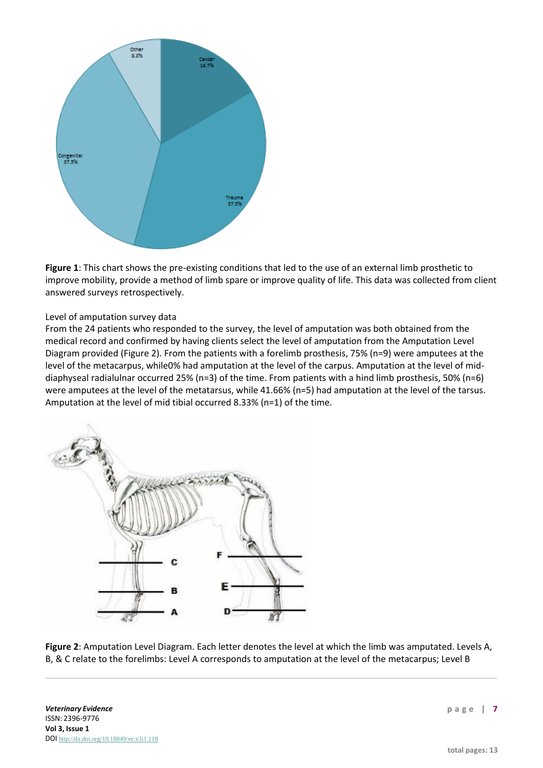

**Figure 1**: This chart shows the pre-existing conditions that led to the use of an external limb prosthetic to improve mobility, provide a method of limb spare or improve quality of life. This data was collected from client answered surveys retrospectively.

#### Level of amputation survey data

From the 24 patients who responded to the survey, the level of amputation was both obtained from the medical record and confirmed by having clients select the level of amputation from the Amputation Level Diagram provided (Figure 2). From the patients with a forelimb prosthesis, 75% (n=9) were amputees at the level of the metacarpus, while0% had amputation at the level of the carpus. Amputation at the level of middiaphyseal radialulnar occurred 25% (n=3) of the time. From patients with a hind limb prosthesis, 50% (n=6) were amputees at the level of the metatarsus, while 41.66% (n=5) had amputation at the level of the tarsus. Amputation at the level of mid tibial occurred 8.33% (n=1) of the time.



**Figure 2**: Amputation Level Diagram. Each letter denotes the level at which the limb was amputated. Levels A, B, & C relate to the forelimbs: Level A corresponds to amputation at the level of the metacarpus; Level B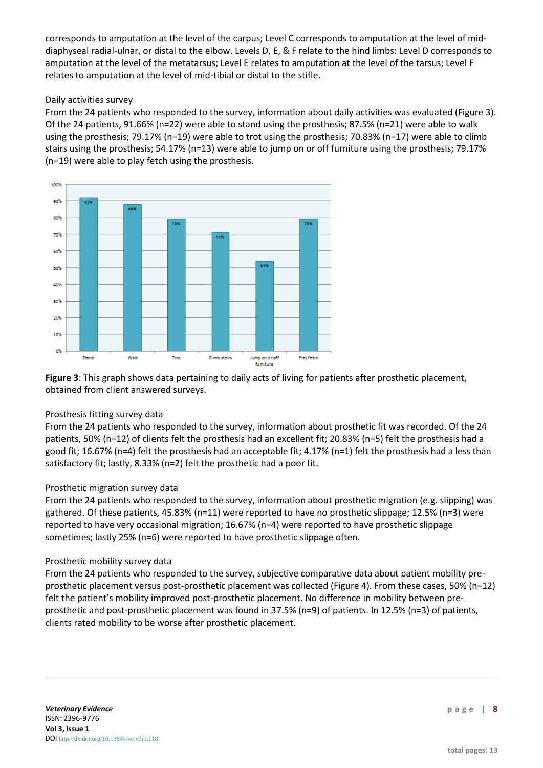corresponds to amputation at the level of the carpus; Level C corresponds to amputation at the level of middiaphyseal radial-ulnar, or distal to the elbow. Levels D, E, & F relate to the hind limbs: Level D corresponds to amputation at the level of the metatarsus; Level E relates to amputation at the level of the tarsus; Level F relates to amputation at the level of mid-tibial or distal to the stifle.

## Daily activities survey

From the 24 patients who responded to the survey, information about daily activities was evaluated (Figure 3). Of the 24 patients, 91.66% (n=22) were able to stand using the prosthesis; 87.5% (n=21) were able to walk using the prosthesis; 79.17% (n=19) were able to trot using the prosthesis; 70.83% (n=17) were able to climb stairs using the prosthesis; 54.17% (n=13) were able to jump on or off furniture using the prosthesis; 79.17% (n=19) were able to play fetch using the prosthesis.



**Figure 3**: This graph shows data pertaining to daily acts of living for patients after prosthetic placement, obtained from client answered surveys.

## Prosthesis fitting survey data

From the 24 patients who responded to the survey, information about prosthetic fit was recorded. Of the 24 patients, 50% (n=12) of clients felt the prosthesis had an excellent fit; 20.83% (n=5) felt the prosthesis had a good fit; 16.67% (n=4) felt the prosthesis had an acceptable fit; 4.17% (n=1) felt the prosthesis had a less than satisfactory fit; lastly, 8.33% (n=2) felt the prosthetic had a poor fit.

## Prosthetic migration survey data

From the 24 patients who responded to the survey, information about prosthetic migration (e.g. slipping) was gathered. Of these patients, 45.83% (n=11) were reported to have no prosthetic slippage; 12.5% (n=3) were reported to have very occasional migration; 16.67% (n=4) were reported to have prosthetic slippage sometimes; lastly 25% (n=6) were reported to have prosthetic slippage often.

## Prosthetic mobility survey data

From the 24 patients who responded to the survey, subjective comparative data about patient mobility preprosthetic placement versus post-prosthetic placement was collected (Figure 4). From these cases, 50% (n=12) felt the patient's mobility improved post-prosthetic placement. No difference in mobility between preprosthetic and post-prosthetic placement was found in 37.5% (n=9) of patients. In 12.5% (n=3) of patients, clients rated mobility to be worse after prosthetic placement.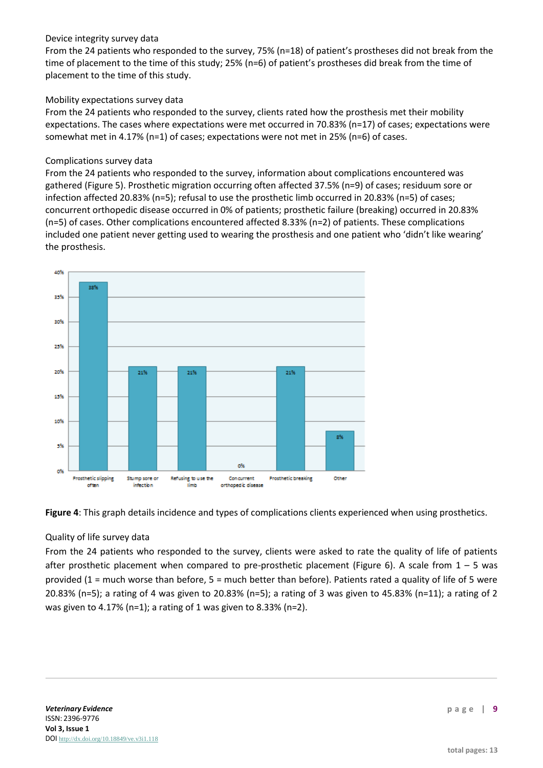## Device integrity survey data

From the 24 patients who responded to the survey, 75% (n=18) of patient's prostheses did not break from the time of placement to the time of this study; 25% (n=6) of patient's prostheses did break from the time of placement to the time of this study.

## Mobility expectations survey data

From the 24 patients who responded to the survey, clients rated how the prosthesis met their mobility expectations. The cases where expectations were met occurred in 70.83% (n=17) of cases; expectations were somewhat met in 4.17% (n=1) of cases; expectations were not met in 25% (n=6) of cases.

## Complications survey data

From the 24 patients who responded to the survey, information about complications encountered was gathered (Figure 5). Prosthetic migration occurring often affected 37.5% (n=9) of cases; residuum sore or infection affected 20.83% (n=5); refusal to use the prosthetic limb occurred in 20.83% (n=5) of cases; concurrent orthopedic disease occurred in 0% of patients; prosthetic failure (breaking) occurred in 20.83% (n=5) of cases. Other complications encountered affected 8.33% (n=2) of patients. These complications included one patient never getting used to wearing the prosthesis and one patient who 'didn't like wearing' the prosthesis.





## Quality of life survey data

From the 24 patients who responded to the survey, clients were asked to rate the quality of life of patients after prosthetic placement when compared to pre-prosthetic placement (Figure 6). A scale from  $1 - 5$  was provided (1 = much worse than before, 5 = much better than before). Patients rated a quality of life of 5 were 20.83% (n=5); a rating of 4 was given to 20.83% (n=5); a rating of 3 was given to 45.83% (n=11); a rating of 2 was given to 4.17% (n=1); a rating of 1 was given to 8.33% (n=2).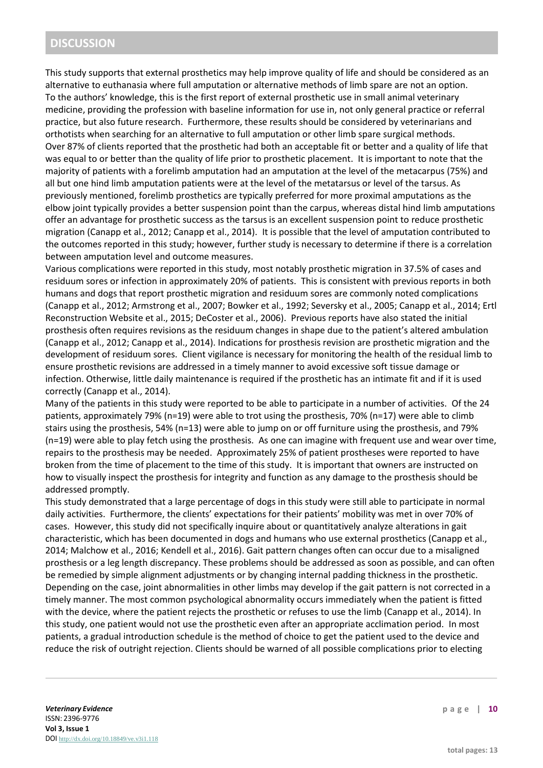# **DISCUSSION**

This study supports that external prosthetics may help improve quality of life and should be considered as an alternative to euthanasia where full amputation or alternative methods of limb spare are not an option. To the authors' knowledge, this is the first report of external prosthetic use in small animal veterinary medicine, providing the profession with baseline information for use in, not only general practice or referral practice, but also future research. Furthermore, these results should be considered by veterinarians and orthotists when searching for an alternative to full amputation or other limb spare surgical methods. Over 87% of clients reported that the prosthetic had both an acceptable fit or better and a quality of life that was equal to or better than the quality of life prior to prosthetic placement. It is important to note that the majority of patients with a forelimb amputation had an amputation at the level of the metacarpus (75%) and all but one hind limb amputation patients were at the level of the metatarsus or level of the tarsus. As previously mentioned, forelimb prosthetics are typically preferred for more proximal amputations as the elbow joint typically provides a better suspension point than the carpus, whereas distal hind limb amputations offer an advantage for prosthetic success as the tarsus is an excellent suspension point to reduce prosthetic migration (Canapp et al., 2012; Canapp et al., 2014). It is possible that the level of amputation contributed to the outcomes reported in this study; however, further study is necessary to determine if there is a correlation between amputation level and outcome measures.

Various complications were reported in this study, most notably prosthetic migration in 37.5% of cases and residuum sores or infection in approximately 20% of patients. This is consistent with previous reports in both humans and dogs that report prosthetic migration and residuum sores are commonly noted complications (Canapp et al., 2012; Armstrong et al., 2007; Bowker et al., 1992; Seversky et al., 2005; Canapp et al., 2014; Ertl Reconstruction Website et al., 2015; DeCoster et al., 2006). Previous reports have also stated the initial prosthesis often requires revisions as the residuum changes in shape due to the patient's altered ambulation (Canapp et al., 2012; Canapp et al., 2014). Indications for prosthesis revision are prosthetic migration and the development of residuum sores. Client vigilance is necessary for monitoring the health of the residual limb to ensure prosthetic revisions are addressed in a timely manner to avoid excessive soft tissue damage or infection. Otherwise, little daily maintenance is required if the prosthetic has an intimate fit and if it is used correctly (Canapp et al., 2014).

Many of the patients in this study were reported to be able to participate in a number of activities. Of the 24 patients, approximately 79% (n=19) were able to trot using the prosthesis, 70% (n=17) were able to climb stairs using the prosthesis, 54% (n=13) were able to jump on or off furniture using the prosthesis, and 79% (n=19) were able to play fetch using the prosthesis. As one can imagine with frequent use and wear over time, repairs to the prosthesis may be needed. Approximately 25% of patient prostheses were reported to have broken from the time of placement to the time of this study. It is important that owners are instructed on how to visually inspect the prosthesis for integrity and function as any damage to the prosthesis should be addressed promptly.

This study demonstrated that a large percentage of dogs in this study were still able to participate in normal daily activities. Furthermore, the clients' expectations for their patients' mobility was met in over 70% of cases. However, this study did not specifically inquire about or quantitatively analyze alterations in gait characteristic, which has been documented in dogs and humans who use external prosthetics (Canapp et al., 2014; Malchow et al., 2016; Kendell et al., 2016). Gait pattern changes often can occur due to a misaligned prosthesis or a leg length discrepancy. These problems should be addressed as soon as possible, and can often be remedied by simple alignment adjustments or by changing internal padding thickness in the prosthetic. Depending on the case, joint abnormalities in other limbs may develop if the gait pattern is not corrected in a timely manner. The most common psychological abnormality occurs immediately when the patient is fitted with the device, where the patient rejects the prosthetic or refuses to use the limb (Canapp et al., 2014). In this study, one patient would not use the prosthetic even after an appropriate acclimation period. In most patients, a gradual introduction schedule is the method of choice to get the patient used to the device and reduce the risk of outright rejection. Clients should be warned of all possible complications prior to electing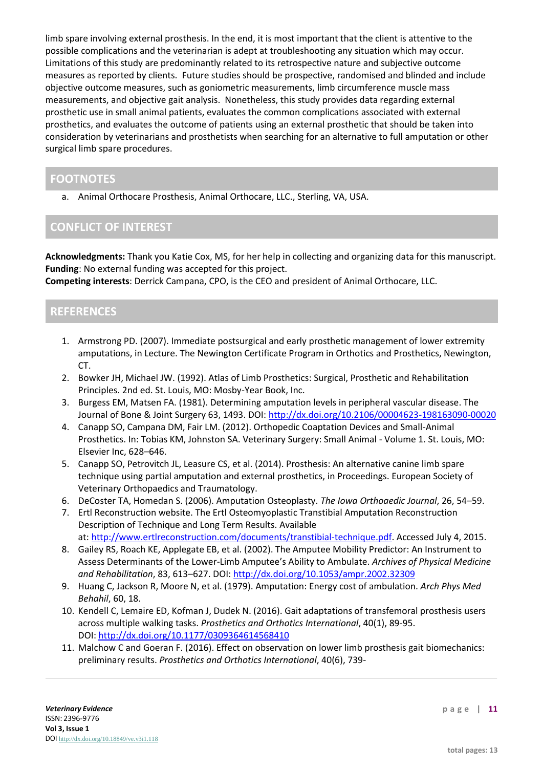limb spare involving external prosthesis. In the end, it is most important that the client is attentive to the possible complications and the veterinarian is adept at troubleshooting any situation which may occur. Limitations of this study are predominantly related to its retrospective nature and subjective outcome measures as reported by clients. Future studies should be prospective, randomised and blinded and include objective outcome measures, such as goniometric measurements, limb circumference muscle mass measurements, and objective gait analysis. Nonetheless, this study provides data regarding external prosthetic use in small animal patients, evaluates the common complications associated with external prosthetics, and evaluates the outcome of patients using an external prosthetic that should be taken into consideration by veterinarians and prosthetists when searching for an alternative to full amputation or other surgical limb spare procedures.

## **FOOTNOTES**

a. Animal Orthocare Prosthesis, Animal Orthocare, LLC., Sterling, VA, USA.

## **CONFLICT OF INTEREST**

**Acknowledgments:** Thank you Katie Cox, MS, for her help in collecting and organizing data for this manuscript. **Funding**: No external funding was accepted for this project.

**Competing interests**: Derrick Campana, CPO, is the CEO and president of Animal Orthocare, LLC.

## **REFERENCES**

- 1. Armstrong PD. (2007). Immediate postsurgical and early prosthetic management of lower extremity amputations, in Lecture. The Newington Certificate Program in Orthotics and Prosthetics, Newington, CT.
- 2. Bowker JH, Michael JW. (1992). Atlas of Limb Prosthetics: Surgical, Prosthetic and Rehabilitation Principles. 2nd ed. St. Louis, MO: Mosby-Year Book, Inc.
- 3. Burgess EM, Matsen FA. (1981). Determining amputation levels in peripheral vascular disease. The Journal of Bone & Joint Surgery 63, 1493. DOI: <http://dx.doi.org/10.2106/00004623-198163090-00020>
- 4. Canapp SO, Campana DM, Fair LM. (2012). Orthopedic Coaptation Devices and Small-Animal Prosthetics. In: Tobias KM, Johnston SA. Veterinary Surgery: Small Animal - Volume 1. St. Louis, MO: Elsevier Inc, 628–646.
- 5. Canapp SO, Petrovitch JL, Leasure CS, et al. (2014). Prosthesis: An alternative canine limb spare technique using partial amputation and external prosthetics, in Proceedings. European Society of Veterinary Orthopaedics and Traumatology.
- 6. DeCoster TA, Homedan S. (2006). Amputation Osteoplasty. *The Iowa Orthoaedic Journal*, 26, 54–59.
- 7. Ertl Reconstruction website. The Ertl Osteomyoplastic Transtibial Amputation Reconstruction Description of Technique and Long Term Results. Available at: [http://www.ertlreconstruction.com/documents/transtibial-technique.pdf.](http://www.ertlreconstruction.com/documents/transtibial-technique.pdf) Accessed July 4, 2015.
- 8. Gailey RS, Roach KE, Applegate EB, et al. (2002). The Amputee Mobility Predictor: An Instrument to Assess Determinants of the Lower-Limb Amputee's Ability to Ambulate. *Archives of Physical Medicine and Rehabilitation*, 83, 613–627. DOI: <http://dx.doi.org/10.1053/ampr.2002.32309>
- 9. Huang C, Jackson R, Moore N, et al. (1979). Amputation: Energy cost of ambulation. *Arch Phys Med Behahil*, 60, 18.
- 10. Kendell C, Lemaire ED, Kofman J, Dudek N. (2016). Gait adaptations of transfemoral prosthesis users across multiple walking tasks. *Prosthetics and Orthotics International*, 40(1), 89-95. DOI: <http://dx.doi.org/10.1177/0309364614568410>
- 11. Malchow C and Goeran F. (2016). Effect on observation on lower limb prosthesis gait biomechanics: preliminary results. *Prosthetics and Orthotics International*, 40(6), 739-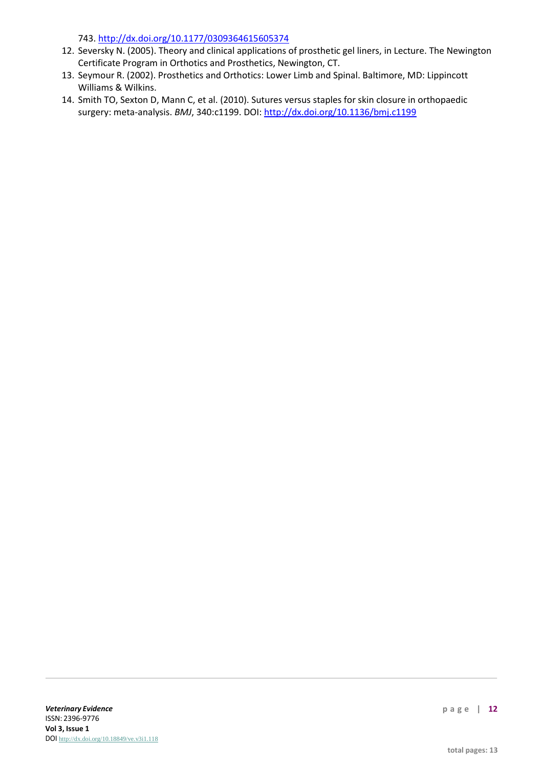743. <http://dx.doi.org/10.1177/0309364615605374>

- 12. Seversky N. (2005). Theory and clinical applications of prosthetic gel liners, in Lecture. The Newington Certificate Program in Orthotics and Prosthetics, Newington, CT.
- 13. Seymour R. (2002). Prosthetics and Orthotics: Lower Limb and Spinal. Baltimore, MD: Lippincott Williams & Wilkins.
- 14. Smith TO, Sexton D, Mann C, et al. (2010). Sutures versus staples for skin closure in orthopaedic surgery: meta-analysis. *BMJ*, 340:c1199. DOI: <http://dx.doi.org/10.1136/bmj.c1199>